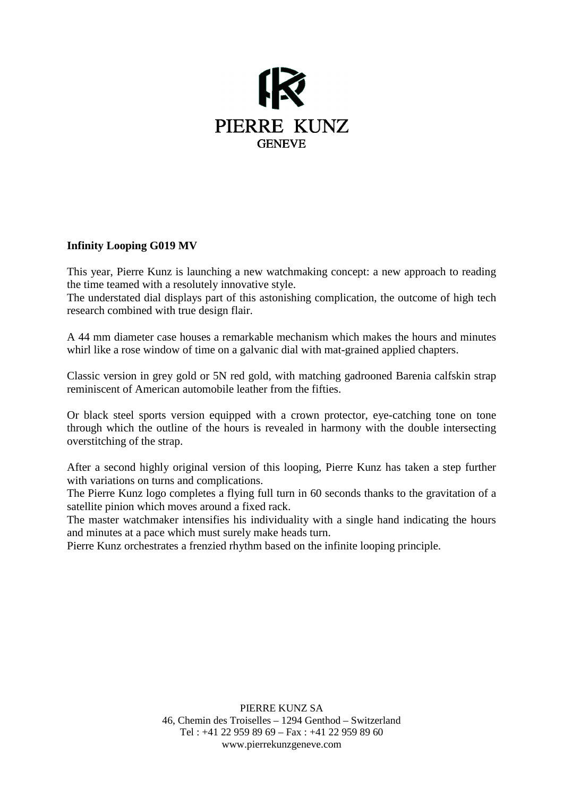

## **Infinity Looping G019 MV**

This year, Pierre Kunz is launching a new watchmaking concept: a new approach to reading the time teamed with a resolutely innovative style.

The understated dial displays part of this astonishing complication, the outcome of high tech research combined with true design flair.

A 44 mm diameter case houses a remarkable mechanism which makes the hours and minutes whirl like a rose window of time on a galvanic dial with mat-grained applied chapters.

Classic version in grey gold or 5N red gold, with matching gadrooned Barenia calfskin strap reminiscent of American automobile leather from the fifties.

Or black steel sports version equipped with a crown protector, eye-catching tone on tone through which the outline of the hours is revealed in harmony with the double intersecting overstitching of the strap.

After a second highly original version of this looping, Pierre Kunz has taken a step further with variations on turns and complications.

The Pierre Kunz logo completes a flying full turn in 60 seconds thanks to the gravitation of a satellite pinion which moves around a fixed rack.

The master watchmaker intensifies his individuality with a single hand indicating the hours and minutes at a pace which must surely make heads turn.

Pierre Kunz orchestrates a frenzied rhythm based on the infinite looping principle.